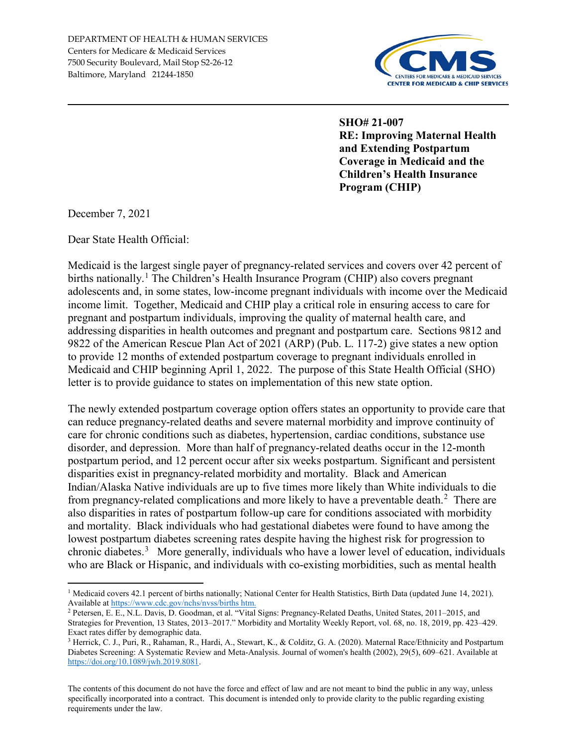

**SHO# 21-007 RE: Improving Maternal Health and Extending Postpartum Coverage in Medicaid and the Children's Health Insurance Program (CHIP)**

December 7, 2021

l

Dear State Health Official:

Medicaid is the largest single payer of pregnancy-related services and covers over 42 percent of births nationally.<sup>1</sup> The Children's Health Insurance Program (CHIP) also covers pregnant adolescents and, in some states, low-income pregnant individuals with income over the Medicaid income limit. Together, Medicaid and CHIP play a critical role in ensuring access to care for pregnant and postpartum individuals, improving the quality of maternal health care, and addressing disparities in health outcomes and pregnant and postpartum care. Sections 9812 and 9822 of the American Rescue Plan Act of 2021 (ARP) (Pub. L. 117-2) give states a new option to provide 12 months of extended postpartum coverage to pregnant individuals enrolled in Medicaid and CHIP beginning April 1, 2022. The purpose of this State Health Official (SHO) letter is to provide guidance to states on implementation of this new state option.

The newly extended postpartum coverage option offers states an opportunity to provide care that can reduce pregnancy-related deaths and severe maternal morbidity and improve continuity of care for chronic conditions such as diabetes, hypertension, cardiac conditions, substance use disorder, and depression. More than half of pregnancy-related deaths occur in the 12-month postpartum period, and 12 percent occur after six weeks postpartum. Significant and persistent disparities exist in pregnancy-related morbidity and mortality. Black and American Indian/Alaska Native individuals are up to five times more likely than White individuals to die from pregnancy-related complications and more likely to have a preventable death. $2$  There are also disparities in rates of postpartum follow-up care for conditions associated with morbidity and mortality. Black individuals who had gestational diabetes were found to have among the lowest postpartum diabetes screening rates despite having the highest risk for progression to chronic diabetes.<sup>3</sup> More generally, individuals who have a lower level of education, individuals who are Black or Hispanic, and individuals with co-existing morbidities, such as mental health

The contents of this document do not have the force and effect of law and are not meant to bind the public in any way, unless specifically incorporated into a contract. This document is intended only to provide clarity to the public regarding existing requirements under the law.

<sup>&</sup>lt;sup>1</sup> Medicaid covers 42.1 percent of births nationally; National Center for Health Statistics, Birth Data (updated June 14, 2021). Available at https://www.cdc.gov/nchs/nvss/births htm.<br><sup>2</sup> Petersen, E. E., N.L. Davis, D. Goodman, et al. "Vital Signs: Pregnancy-Related Deaths, United States, 2011–2015, and

Strategies for Prevention, 13 States, 2013–2017." Morbidity and Mortality Weekly Report, vol. 68, no. 18, 2019, pp. 423–429. Exact rates differ by demographic data.

<sup>3</sup> Herrick, C. J., Puri, R., Rahaman, R., Hardi, A., Stewart, K., & Colditz, G. A. (2020). Maternal Race/Ethnicity and Postpartum Diabetes Screening: A Systematic Review and Meta-Analysis. Journal of women's health (2002), 29(5), 609–621. Available at https://doi.org/10.1089/jwh.2019.8081.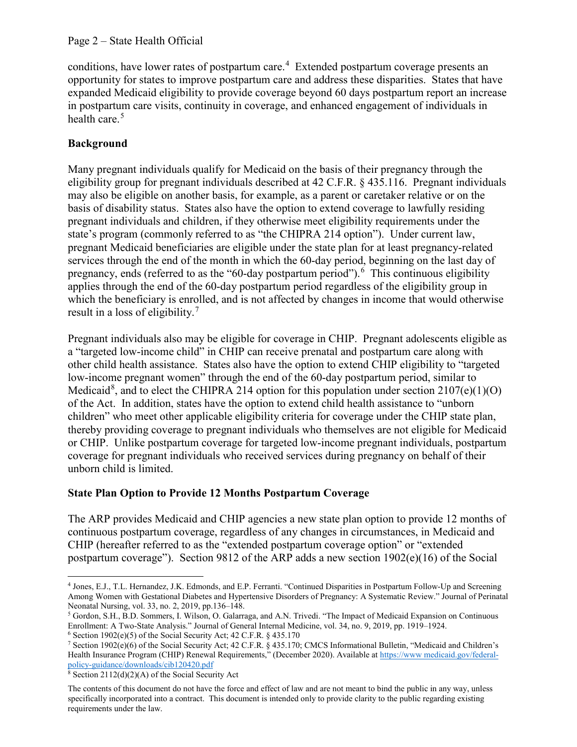conditions, have lower rates of postpartum care.<sup>4</sup> Extended postpartum coverage presents an opportunity for states to improve postpartum care and address these disparities. States that have expanded Medicaid eligibility to provide coverage beyond 60 days postpartum report an increase in postpartum care visits, continuity in coverage, and enhanced engagement of individuals in health care. $5$ 

# **Background**

Many pregnant individuals qualify for Medicaid on the basis of their pregnancy through the eligibility group for pregnant individuals described at 42 C.F.R. § 435.116. Pregnant individuals may also be eligible on another basis, for example, as a parent or caretaker relative or on the basis of disability status. States also have the option to extend coverage to lawfully residing pregnant individuals and children, if they otherwise meet eligibility requirements under the state's program (commonly referred to as "the CHIPRA 214 option"). Under current law, pregnant Medicaid beneficiaries are eligible under the state plan for at least pregnancy-related services through the end of the month in which the 60-day period, beginning on the last day of pregnancy, ends (referred to as the "60-day postpartum period").<sup>6</sup> This continuous eligibility applies through the end of the 60-day postpartum period regardless of the eligibility group in which the beneficiary is enrolled, and is not affected by changes in income that would otherwise result in a loss of eligibility.<sup>7</sup>

Pregnant individuals also may be eligible for coverage in CHIP. Pregnant adolescents eligible as a "targeted low-income child" in CHIP can receive prenatal and postpartum care along with other child health assistance. States also have the option to extend CHIP eligibility to "targeted low-income pregnant women" through the end of the 60-day postpartum period, similar to Medicaid<sup>8</sup>, and to elect the CHIPRA 214 option for this population under section 2107(e)(1)(O) of the Act. In addition, states have the option to extend child health assistance to "unborn children" who meet other applicable eligibility criteria for coverage under the CHIP state plan, thereby providing coverage to pregnant individuals who themselves are not eligible for Medicaid or CHIP. Unlike postpartum coverage for targeted low-income pregnant individuals, postpartum coverage for pregnant individuals who received services during pregnancy on behalf of their unborn child is limited.

# **State Plan Option to Provide 12 Months Postpartum Coverage**

The ARP provides Medicaid and CHIP agencies a new state plan option to provide 12 months of continuous postpartum coverage, regardless of any changes in circumstances, in Medicaid and CHIP (hereafter referred to as the "extended postpartum coverage option" or "extended postpartum coverage"). Section 9812 of the ARP adds a new section 1902(e)(16) of the Social

l <sup>4</sup> Jones, E.J., T.L. Hernandez, J.K. Edmonds, and E.P. Ferranti. "Continued Disparities in Postpartum Follow-Up and Screening Among Women with Gestational Diabetes and Hypertensive Disorders of Pregnancy: A Systematic Review." Journal of Perinatal Neonatal Nursing, vol. 33, no. 2, 2019, pp.136–148.

<sup>5</sup> Gordon, S.H., B.D. Sommers, I. Wilson, O. Galarraga, and A.N. Trivedi. "The Impact of Medicaid Expansion on Continuous Enrollment: A Two-State Analysis." Journal of General Internal Medicine, vol. 34, no. 9, 2019, pp. 1919–1924.

 $6$  Section 1902(e)(5) of the Social Security Act; 42 C.F.R. § 435.170 <sup>7</sup> Section 1902(e)(6) of the Social Security Act; 42 C.F.R. § 435.170; CMCS Informational Bulletin, "Medicaid and Children's

Health Insurance Program (CHIP) Renewal Requirements," (December 2020). Available at https://www medicaid.gov/federalpolicy-guidance/downloads/cib120420.pdf<br><sup>8</sup> Section 2112(d)(2)(A) of the Social Security Act

The contents of this document do not have the force and effect of law and are not meant to bind the public in any way, unless specifically incorporated into a contract. This document is intended only to provide clarity to the public regarding existing requirements under the law.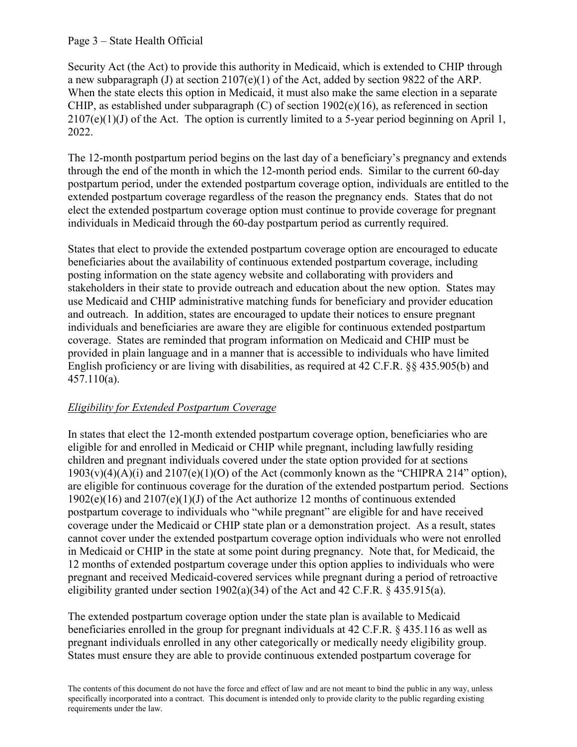#### Page 3 – State Health Official

Security Act (the Act) to provide this authority in Medicaid, which is extended to CHIP through a new subparagraph (J) at section 2107(e)(1) of the Act, added by section 9822 of the ARP. When the state elects this option in Medicaid, it must also make the same election in a separate CHIP, as established under subparagraph (C) of section 1902(e)(16), as referenced in section  $2107(e)(1)(J)$  of the Act. The option is currently limited to a 5-year period beginning on April 1, 2022.

The 12-month postpartum period begins on the last day of a beneficiary's pregnancy and extends through the end of the month in which the 12-month period ends. Similar to the current 60-day postpartum period, under the extended postpartum coverage option, individuals are entitled to the extended postpartum coverage regardless of the reason the pregnancy ends. States that do not elect the extended postpartum coverage option must continue to provide coverage for pregnant individuals in Medicaid through the 60-day postpartum period as currently required.

States that elect to provide the extended postpartum coverage option are encouraged to educate beneficiaries about the availability of continuous extended postpartum coverage, including posting information on the state agency website and collaborating with providers and stakeholders in their state to provide outreach and education about the new option. States may use Medicaid and CHIP administrative matching funds for beneficiary and provider education and outreach. In addition, states are encouraged to update their notices to ensure pregnant individuals and beneficiaries are aware they are eligible for continuous extended postpartum coverage. States are reminded that program information on Medicaid and CHIP must be provided in plain language and in a manner that is accessible to individuals who have limited English proficiency or are living with disabilities, as required at 42 C.F.R. §§ 435.905(b) and 457.110(a).

## *Eligibility for Extended Postpartum Coverage*

In states that elect the 12-month extended postpartum coverage option, beneficiaries who are eligible for and enrolled in Medicaid or CHIP while pregnant, including lawfully residing children and pregnant individuals covered under the state option provided for at sections  $1903(v)(4)(A)(i)$  and  $2107(e)(1)(O)$  of the Act (commonly known as the "CHIPRA 214" option), are eligible for continuous coverage for the duration of the extended postpartum period. Sections 1902(e)(16) and 2107(e)(1)(J) of the Act authorize 12 months of continuous extended postpartum coverage to individuals who "while pregnant" are eligible for and have received coverage under the Medicaid or CHIP state plan or a demonstration project. As a result, states cannot cover under the extended postpartum coverage option individuals who were not enrolled in Medicaid or CHIP in the state at some point during pregnancy. Note that, for Medicaid, the 12 months of extended postpartum coverage under this option applies to individuals who were pregnant and received Medicaid-covered services while pregnant during a period of retroactive eligibility granted under section 1902(a)(34) of the Act and 42 C.F.R. § 435.915(a).

The extended postpartum coverage option under the state plan is available to Medicaid beneficiaries enrolled in the group for pregnant individuals at 42 C.F.R. § 435.116 as well as pregnant individuals enrolled in any other categorically or medically needy eligibility group. States must ensure they are able to provide continuous extended postpartum coverage for

The contents of this document do not have the force and effect of law and are not meant to bind the public in any way, unless specifically incorporated into a contract. This document is intended only to provide clarity to the public regarding existing requirements under the law.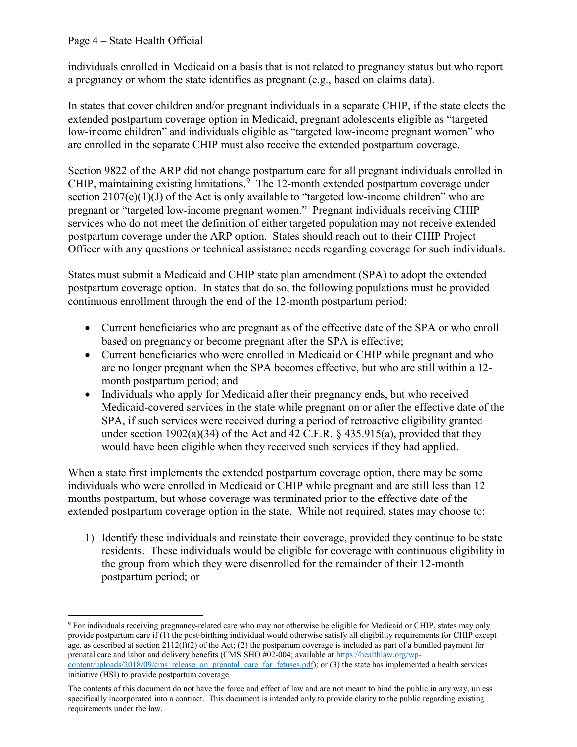## Page 4 – State Health Official

l

individuals enrolled in Medicaid on a basis that is not related to pregnancy status but who report a pregnancy or whom the state identifies as pregnant (e.g., based on claims data).

In states that cover children and/or pregnant individuals in a separate CHIP, if the state elects the extended postpartum coverage option in Medicaid, pregnant adolescents eligible as "targeted low-income children" and individuals eligible as "targeted low-income pregnant women" who are enrolled in the separate CHIP must also receive the extended postpartum coverage.

Section 9822 of the ARP did not change postpartum care for all pregnant individuals enrolled in CHIP, maintaining existing limitations.<sup>9</sup> The 12-month extended postpartum coverage under section  $2107(e)(1)(J)$  of the Act is only available to "targeted low-income children" who are pregnant or "targeted low-income pregnant women." Pregnant individuals receiving CHIP services who do not meet the definition of either targeted population may not receive extended postpartum coverage under the ARP option. States should reach out to their CHIP Project Officer with any questions or technical assistance needs regarding coverage for such individuals.

States must submit a Medicaid and CHIP state plan amendment (SPA) to adopt the extended postpartum coverage option. In states that do so, the following populations must be provided continuous enrollment through the end of the 12-month postpartum period:

- Current beneficiaries who are pregnant as of the effective date of the SPA or who enroll based on pregnancy or become pregnant after the SPA is effective;
- Current beneficiaries who were enrolled in Medicaid or CHIP while pregnant and who are no longer pregnant when the SPA becomes effective, but who are still within a 12 month postpartum period; and
- Individuals who apply for Medicaid after their pregnancy ends, but who received Medicaid-covered services in the state while pregnant on or after the effective date of the SPA, if such services were received during a period of retroactive eligibility granted under section 1902(a)(34) of the Act and 42 C.F.R.  $\S$  435.915(a), provided that they would have been eligible when they received such services if they had applied.

When a state first implements the extended postpartum coverage option, there may be some individuals who were enrolled in Medicaid or CHIP while pregnant and are still less than 12 months postpartum, but whose coverage was terminated prior to the effective date of the extended postpartum coverage option in the state. While not required, states may choose to:

1) Identify these individuals and reinstate their coverage, provided they continue to be state residents. These individuals would be eligible for coverage with continuous eligibility in the group from which they were disenrolled for the remainder of their 12-month postpartum period; or

<sup>9</sup> For individuals receiving pregnancy-related care who may not otherwise be eligible for Medicaid or CHIP, states may only provide postpartum care if (1) the post-birthing individual would otherwise satisfy all eligibility requirements for CHIP except age, as described at section  $2112(f)(2)$  of the Act; (2) the postpartum coverage is included as part of a bundled payment for prenatal care and labor and delivery benefits (CMS SHO #02-004; available at https://healthlaw.org/wpcontent/uploads/2018/09/cms release on prenatal care for fetuses.pdf); or (3) the state has implemented a health services initiative (HSI) to provide postpartum coverage.

The contents of this document do not have the force and effect of law and are not meant to bind the public in any way, unless specifically incorporated into a contract. This document is intended only to provide clarity to the public regarding existing requirements under the law.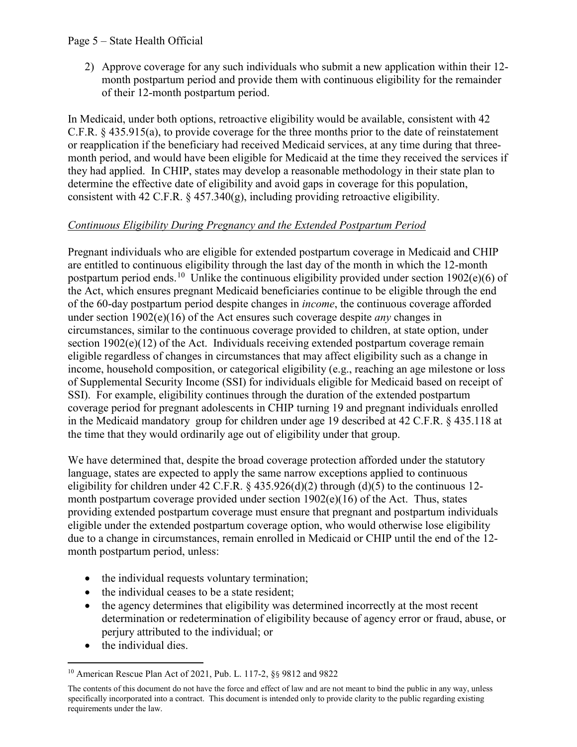## Page 5 – State Health Official

2) Approve coverage for any such individuals who submit a new application within their 12 month postpartum period and provide them with continuous eligibility for the remainder of their 12-month postpartum period.

In Medicaid, under both options, retroactive eligibility would be available, consistent with 42 C.F.R. § 435.915(a), to provide coverage for the three months prior to the date of reinstatement or reapplication if the beneficiary had received Medicaid services, at any time during that threemonth period, and would have been eligible for Medicaid at the time they received the services if they had applied. In CHIP, states may develop a reasonable methodology in their state plan to determine the effective date of eligibility and avoid gaps in coverage for this population, consistent with 42 C.F.R.  $\S$  457.340(g), including providing retroactive eligibility.

# *Continuous Eligibility During Pregnancy and the Extended Postpartum Period*

Pregnant individuals who are eligible for extended postpartum coverage in Medicaid and CHIP are entitled to continuous eligibility through the last day of the month in which the 12-month postpartum period ends.<sup>10</sup> Unlike the continuous eligibility provided under section 1902(e)(6) of the Act, which ensures pregnant Medicaid beneficiaries continue to be eligible through the end of the 60-day postpartum period despite changes in *income*, the continuous coverage afforded under section 1902(e)(16) of the Act ensures such coverage despite *any* changes in circumstances, similar to the continuous coverage provided to children, at state option, under section 1902(e)(12) of the Act. Individuals receiving extended postpartum coverage remain eligible regardless of changes in circumstances that may affect eligibility such as a change in income, household composition, or categorical eligibility (e.g., reaching an age milestone or loss of Supplemental Security Income (SSI) for individuals eligible for Medicaid based on receipt of SSI). For example, eligibility continues through the duration of the extended postpartum coverage period for pregnant adolescents in CHIP turning 19 and pregnant individuals enrolled in the Medicaid mandatory group for children under age 19 described at 42 C.F.R. § 435.118 at the time that they would ordinarily age out of eligibility under that group.

We have determined that, despite the broad coverage protection afforded under the statutory language, states are expected to apply the same narrow exceptions applied to continuous eligibility for children under 42 C.F.R. § 435.926(d)(2) through (d)(5) to the continuous 12month postpartum coverage provided under section 1902(e)(16) of the Act. Thus, states providing extended postpartum coverage must ensure that pregnant and postpartum individuals eligible under the extended postpartum coverage option, who would otherwise lose eligibility due to a change in circumstances, remain enrolled in Medicaid or CHIP until the end of the 12 month postpartum period, unless:

- the individual requests voluntary termination;
- the individual ceases to be a state resident;
- the agency determines that eligibility was determined incorrectly at the most recent determination or redetermination of eligibility because of agency error or fraud, abuse, or perjury attributed to the individual; or
- the individual dies.

 $\overline{\phantom{a}}$ <sup>10</sup> American Rescue Plan Act of 2021, Pub. L. 117-2, §§ 9812 and 9822

The contents of this document do not have the force and effect of law and are not meant to bind the public in any way, unless specifically incorporated into a contract. This document is intended only to provide clarity to the public regarding existing requirements under the law.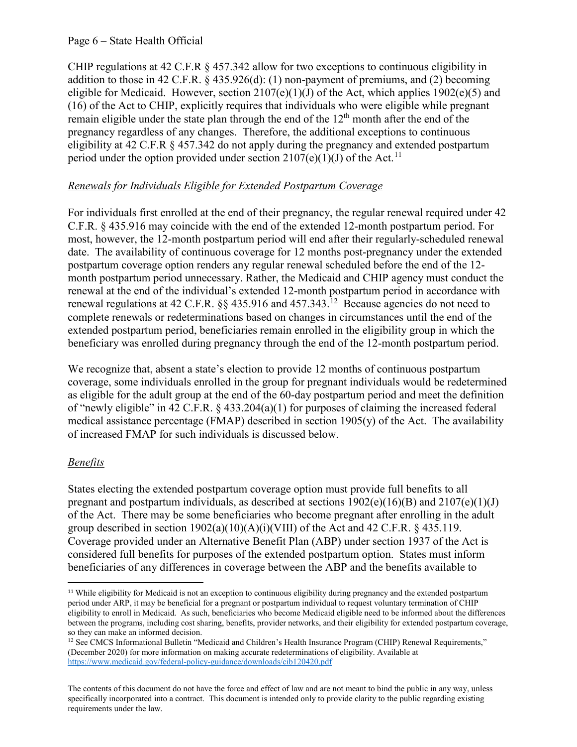#### Page 6 – State Health Official

CHIP regulations at 42 C.F.R  $\S$  457.342 allow for two exceptions to continuous eligibility in addition to those in 42 C.F.R. § 435.926(d): (1) non-payment of premiums, and (2) becoming eligible for Medicaid. However, section  $2107(e)(1)(J)$  of the Act, which applies  $1902(e)(5)$  and (16) of the Act to CHIP, explicitly requires that individuals who were eligible while pregnant remain eligible under the state plan through the end of the  $12<sup>th</sup>$  month after the end of the pregnancy regardless of any changes. Therefore, the additional exceptions to continuous eligibility at 42 C.F.R § 457.342 do not apply during the pregnancy and extended postpartum period under the option provided under section  $2107(e)(1)(J)$  of the Act.<sup>11</sup>

# *Renewals for Individuals Eligible for Extended Postpartum Coverage*

For individuals first enrolled at the end of their pregnancy, the regular renewal required under 42 C.F.R. § 435.916 may coincide with the end of the extended 12-month postpartum period. For most, however, the 12-month postpartum period will end after their regularly-scheduled renewal date. The availability of continuous coverage for 12 months post-pregnancy under the extended postpartum coverage option renders any regular renewal scheduled before the end of the 12 month postpartum period unnecessary. Rather, the Medicaid and CHIP agency must conduct the renewal at the end of the individual's extended 12-month postpartum period in accordance with renewal regulations at 42 C.F.R.  $\S$  435.916 and 457.343.<sup>12</sup> Because agencies do not need to complete renewals or redeterminations based on changes in circumstances until the end of the extended postpartum period, beneficiaries remain enrolled in the eligibility group in which the beneficiary was enrolled during pregnancy through the end of the 12-month postpartum period.

We recognize that, absent a state's election to provide 12 months of continuous postpartum coverage, some individuals enrolled in the group for pregnant individuals would be redetermined as eligible for the adult group at the end of the 60-day postpartum period and meet the definition of "newly eligible" in 42 C.F.R. § 433.204(a)(1) for purposes of claiming the increased federal medical assistance percentage (FMAP) described in section 1905(y) of the Act. The availability of increased FMAP for such individuals is discussed below.

# *Benefits*

 $\overline{\phantom{a}}$ 

States electing the extended postpartum coverage option must provide full benefits to all pregnant and postpartum individuals, as described at sections  $1902(e)(16)(B)$  and  $2107(e)(1)(J)$ of the Act. There may be some beneficiaries who become pregnant after enrolling in the adult group described in section  $1902(a)(10)(A)(i)(VIII)$  of the Act and 42 C.F.R. § 435.119. Coverage provided under an Alternative Benefit Plan (ABP) under section 1937 of the Act is considered full benefits for purposes of the extended postpartum option. States must inform beneficiaries of any differences in coverage between the ABP and the benefits available to

<sup>11</sup> While eligibility for Medicaid is not an exception to continuous eligibility during pregnancy and the extended postpartum period under ARP, it may be beneficial for a pregnant or postpartum individual to request voluntary termination of CHIP eligibility to enroll in Medicaid. As such, beneficiaries who become Medicaid eligible need to be informed about the differences between the programs, including cost sharing, benefits, provider networks, and their eligibility for extended postpartum coverage, so they can make an informed decision.

<sup>&</sup>lt;sup>12</sup> See CMCS Informational Bulletin "Medicaid and Children's Health Insurance Program (CHIP) Renewal Requirements," (December 2020) for more information on making accurate redeterminations of eligibility. Available at https://www.medicaid.gov/federal-policy-guidance/downloads/cib120420.pdf

The contents of this document do not have the force and effect of law and are not meant to bind the public in any way, unless specifically incorporated into a contract. This document is intended only to provide clarity to the public regarding existing requirements under the law.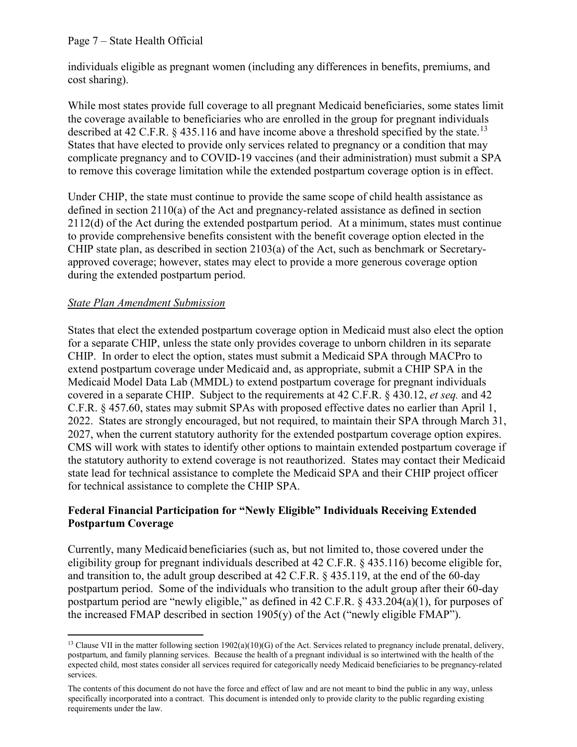## Page 7 – State Health Official

individuals eligible as pregnant women (including any differences in benefits, premiums, and cost sharing).

While most states provide full coverage to all pregnant Medicaid beneficiaries, some states limit the coverage available to beneficiaries who are enrolled in the group for pregnant individuals described at 42 C.F.R. § 435.116 and have income above a threshold specified by the state.<sup>13</sup> States that have elected to provide only services related to pregnancy or a condition that may complicate pregnancy and to COVID-19 vaccines (and their administration) must submit a SPA to remove this coverage limitation while the extended postpartum coverage option is in effect.

Under CHIP, the state must continue to provide the same scope of child health assistance as defined in section 2110(a) of the Act and pregnancy-related assistance as defined in section 2112(d) of the Act during the extended postpartum period. At a minimum, states must continue to provide comprehensive benefits consistent with the benefit coverage option elected in the CHIP state plan, as described in section 2103(a) of the Act, such as benchmark or Secretaryapproved coverage; however, states may elect to provide a more generous coverage option during the extended postpartum period.

#### *State Plan Amendment Submission*

 $\overline{\phantom{a}}$ 

States that elect the extended postpartum coverage option in Medicaid must also elect the option for a separate CHIP, unless the state only provides coverage to unborn children in its separate CHIP. In order to elect the option, states must submit a Medicaid SPA through MACPro to extend postpartum coverage under Medicaid and, as appropriate, submit a CHIP SPA in the Medicaid Model Data Lab (MMDL) to extend postpartum coverage for pregnant individuals covered in a separate CHIP. Subject to the requirements at 42 C.F.R. § 430.12, *et seq.* and 42 C.F.R. § 457.60, states may submit SPAs with proposed effective dates no earlier than April 1, 2022. States are strongly encouraged, but not required, to maintain their SPA through March 31, 2027, when the current statutory authority for the extended postpartum coverage option expires. CMS will work with states to identify other options to maintain extended postpartum coverage if the statutory authority to extend coverage is not reauthorized. States may contact their Medicaid state lead for technical assistance to complete the Medicaid SPA and their CHIP project officer for technical assistance to complete the CHIP SPA.

## **Federal Financial Participation for "Newly Eligible" Individuals Receiving Extended Postpartum Coverage**

Currently, many Medicaid beneficiaries (such as, but not limited to, those covered under the eligibility group for pregnant individuals described at 42 C.F.R. § 435.116) become eligible for, and transition to, the adult group described at 42 C.F.R. § 435.119, at the end of the 60-day postpartum period. Some of the individuals who transition to the adult group after their 60-day postpartum period are "newly eligible," as defined in 42 C.F.R. § 433.204(a)(1), for purposes of the increased FMAP described in section 1905(y) of the Act ("newly eligible FMAP").

<sup>&</sup>lt;sup>13</sup> Clause VII in the matter following section 1902(a)(10)(G) of the Act. Services related to pregnancy include prenatal, delivery, postpartum, and family planning services. Because the health of a pregnant individual is so intertwined with the health of the expected child, most states consider all services required for categorically needy Medicaid beneficiaries to be pregnancy-related services.

The contents of this document do not have the force and effect of law and are not meant to bind the public in any way, unless specifically incorporated into a contract. This document is intended only to provide clarity to the public regarding existing requirements under the law.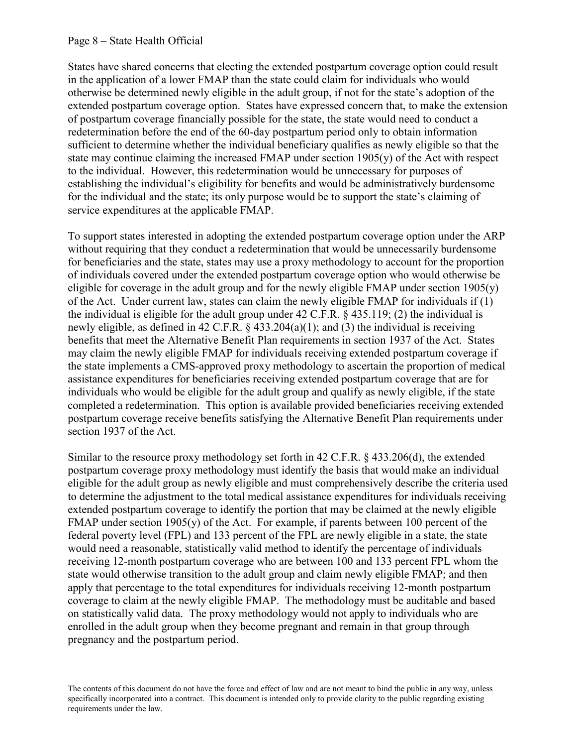#### Page 8 – State Health Official

States have shared concerns that electing the extended postpartum coverage option could result in the application of a lower FMAP than the state could claim for individuals who would otherwise be determined newly eligible in the adult group, if not for the state's adoption of the extended postpartum coverage option. States have expressed concern that, to make the extension of postpartum coverage financially possible for the state, the state would need to conduct a redetermination before the end of the 60-day postpartum period only to obtain information sufficient to determine whether the individual beneficiary qualifies as newly eligible so that the state may continue claiming the increased FMAP under section 1905(y) of the Act with respect to the individual. However, this redetermination would be unnecessary for purposes of establishing the individual's eligibility for benefits and would be administratively burdensome for the individual and the state; its only purpose would be to support the state's claiming of service expenditures at the applicable FMAP.

To support states interested in adopting the extended postpartum coverage option under the ARP without requiring that they conduct a redetermination that would be unnecessarily burdensome for beneficiaries and the state, states may use a proxy methodology to account for the proportion of individuals covered under the extended postpartum coverage option who would otherwise be eligible for coverage in the adult group and for the newly eligible FMAP under section  $1905(y)$ of the Act. Under current law, states can claim the newly eligible FMAP for individuals if (1) the individual is eligible for the adult group under 42 C.F.R. § 435.119; (2) the individual is newly eligible, as defined in 42 C.F.R.  $\S$  433.204(a)(1); and (3) the individual is receiving benefits that meet the Alternative Benefit Plan requirements in section 1937 of the Act. States may claim the newly eligible FMAP for individuals receiving extended postpartum coverage if the state implements a CMS-approved proxy methodology to ascertain the proportion of medical assistance expenditures for beneficiaries receiving extended postpartum coverage that are for individuals who would be eligible for the adult group and qualify as newly eligible, if the state completed a redetermination. This option is available provided beneficiaries receiving extended postpartum coverage receive benefits satisfying the Alternative Benefit Plan requirements under section 1937 of the Act.

Similar to the resource proxy methodology set forth in 42 C.F.R. § 433.206(d), the extended postpartum coverage proxy methodology must identify the basis that would make an individual eligible for the adult group as newly eligible and must comprehensively describe the criteria used to determine the adjustment to the total medical assistance expenditures for individuals receiving extended postpartum coverage to identify the portion that may be claimed at the newly eligible FMAP under section 1905(y) of the Act. For example, if parents between 100 percent of the federal poverty level (FPL) and 133 percent of the FPL are newly eligible in a state, the state would need a reasonable, statistically valid method to identify the percentage of individuals receiving 12-month postpartum coverage who are between 100 and 133 percent FPL whom the state would otherwise transition to the adult group and claim newly eligible FMAP; and then apply that percentage to the total expenditures for individuals receiving 12-month postpartum coverage to claim at the newly eligible FMAP. The methodology must be auditable and based on statistically valid data. The proxy methodology would not apply to individuals who are enrolled in the adult group when they become pregnant and remain in that group through pregnancy and the postpartum period.

The contents of this document do not have the force and effect of law and are not meant to bind the public in any way, unless specifically incorporated into a contract. This document is intended only to provide clarity to the public regarding existing requirements under the law.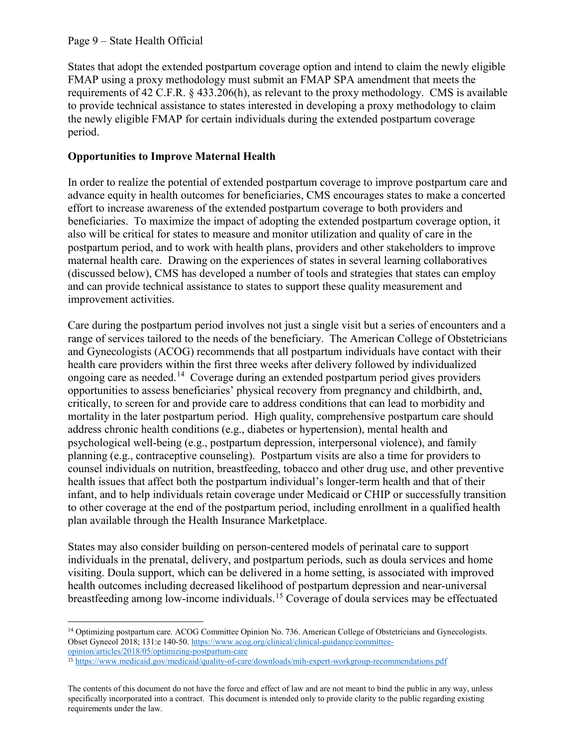l

States that adopt the extended postpartum coverage option and intend to claim the newly eligible FMAP using a proxy methodology must submit an FMAP SPA amendment that meets the requirements of 42 C.F.R. § 433.206(h), as relevant to the proxy methodology. CMS is available to provide technical assistance to states interested in developing a proxy methodology to claim the newly eligible FMAP for certain individuals during the extended postpartum coverage period.

# **Opportunities to Improve Maternal Health**

In order to realize the potential of extended postpartum coverage to improve postpartum care and advance equity in health outcomes for beneficiaries, CMS encourages states to make a concerted effort to increase awareness of the extended postpartum coverage to both providers and beneficiaries. To maximize the impact of adopting the extended postpartum coverage option, it also will be critical for states to measure and monitor utilization and quality of care in the postpartum period, and to work with health plans, providers and other stakeholders to improve maternal health care. Drawing on the experiences of states in several learning collaboratives (discussed below), CMS has developed a number of tools and strategies that states can employ and can provide technical assistance to states to support these quality measurement and improvement activities.

Care during the postpartum period involves not just a single visit but a series of encounters and a range of services tailored to the needs of the beneficiary. The American College of Obstetricians and Gynecologists (ACOG) recommends that all postpartum individuals have contact with their health care providers within the first three weeks after delivery followed by individualized ongoing care as needed.14 Coverage during an extended postpartum period gives providers opportunities to assess beneficiaries' physical recovery from pregnancy and childbirth, and, critically, to screen for and provide care to address conditions that can lead to morbidity and mortality in the later postpartum period. High quality, comprehensive postpartum care should address chronic health conditions (e.g., diabetes or hypertension), mental health and psychological well-being (e.g., postpartum depression, interpersonal violence), and family planning (e.g., contraceptive counseling). Postpartum visits are also a time for providers to counsel individuals on nutrition, breastfeeding, tobacco and other drug use, and other preventive health issues that affect both the postpartum individual's longer-term health and that of their infant, and to help individuals retain coverage under Medicaid or CHIP or successfully transition to other coverage at the end of the postpartum period, including enrollment in a qualified health plan available through the Health Insurance Marketplace.

States may also consider building on person-centered models of perinatal care to support individuals in the prenatal, delivery, and postpartum periods, such as doula services and home visiting. Doula support, which can be delivered in a home setting, is associated with improved health outcomes including decreased likelihood of postpartum depression and near-universal breastfeeding among low-income individuals.<sup>15</sup> Coverage of doula services may be effectuated

<sup>&</sup>lt;sup>14</sup> Optimizing postpartum care. ACOG Committee Opinion No. 736. American College of Obstetricians and Gynecologists. Obset Gynecol 2018; 131:e 140-50. https://www.acog.org/clinical/clinical-guidance/committeeopinion/articles/2018/05/optimizing-postpartum-care

<sup>15</sup> https://www.medicaid.gov/medicaid/quality-of-care/downloads/mih-expert-workgroup-recommendations.pdf

The contents of this document do not have the force and effect of law and are not meant to bind the public in any way, unless specifically incorporated into a contract. This document is intended only to provide clarity to the public regarding existing requirements under the law.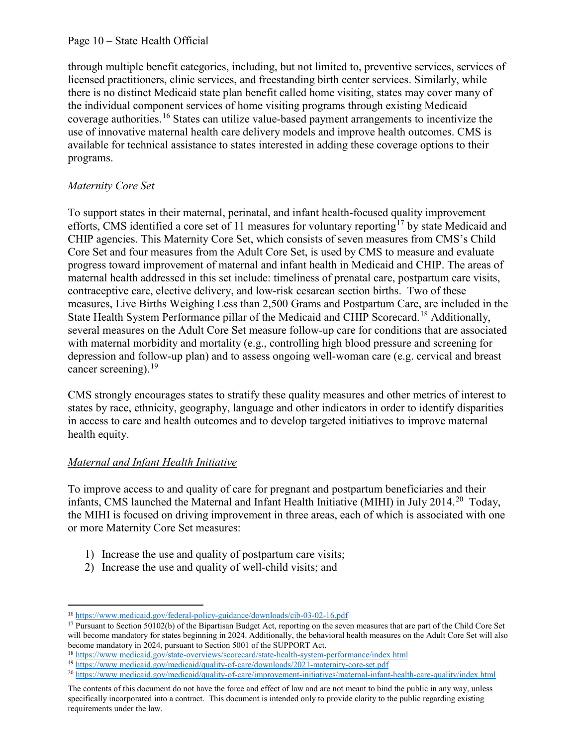#### Page 10 – State Health Official

through multiple benefit categories, including, but not limited to, preventive services, services of licensed practitioners, clinic services, and freestanding birth center services. Similarly, while there is no distinct Medicaid state plan benefit called home visiting, states may cover many of the individual component services of home visiting programs through existing Medicaid coverage authorities.<sup>16</sup> States can utilize value-based payment arrangements to incentivize the use of innovative maternal health care delivery models and improve health outcomes. CMS is available for technical assistance to states interested in adding these coverage options to their programs.

# *Maternity Core Set*

To support states in their maternal, perinatal, and infant health-focused quality improvement efforts, CMS identified a core set of 11 measures for voluntary reporting<sup>17</sup> by state Medicaid and CHIP agencies. This Maternity Core Set, which consists of seven measures from CMS's Child Core Set and four measures from the Adult Core Set, is used by CMS to measure and evaluate progress toward improvement of maternal and infant health in Medicaid and CHIP. The areas of maternal health addressed in this set include: timeliness of prenatal care, postpartum care visits, contraceptive care, elective delivery, and low-risk cesarean section births. Two of these measures, Live Births Weighing Less than 2,500 Grams and Postpartum Care, are included in the State Health System Performance pillar of the Medicaid and CHIP Scorecard.<sup>18</sup> Additionally, several measures on the Adult Core Set measure follow-up care for conditions that are associated with maternal morbidity and mortality (e.g., controlling high blood pressure and screening for depression and follow-up plan) and to assess ongoing well-woman care (e.g. cervical and breast cancer screening).<sup>19</sup>

CMS strongly encourages states to stratify these quality measures and other metrics of interest to states by race, ethnicity, geography, language and other indicators in order to identify disparities in access to care and health outcomes and to develop targeted initiatives to improve maternal health equity.

# *Maternal and Infant Health Initiative*

 $\overline{a}$ 

To improve access to and quality of care for pregnant and postpartum beneficiaries and their infants, CMS launched the Maternal and Infant Health Initiative (MIHI) in July 2014.<sup>20</sup> Today, the MIHI is focused on driving improvement in three areas, each of which is associated with one or more Maternity Core Set measures:

- 1) Increase the use and quality of postpartum care visits;
- 2) Increase the use and quality of well-child visits; and

<sup>&</sup>lt;sup>16</sup> https://www.medicaid.gov/federal-policy-guidance/downloads/cib-03-02-16.pdf<br><sup>17</sup> Pursuant to Section 50102(b) of the Bipartisan Budget Act, reporting on the seven measures that are part of the Child Core Set will become mandatory for states beginning in 2024. Additionally, the behavioral health measures on the Adult Core Set will also become mandatory in 2024, pursuant to Section 5001 of the SUPPORT Act.

<sup>&</sup>lt;sup>18</sup> https://www.medicaid.gov/state-overviews/scorecard/state-health-system-performance/index html<br><sup>19</sup> https://www.medicaid.gov/medicaid/quality-of-care/downloads/2021-maternity-core-set.pdf<br><sup>20</sup> https://www.medicaid.gov/

The contents of this document do not have the force and effect of law and are not meant to bind the public in any way, unless specifically incorporated into a contract. This document is intended only to provide clarity to the public regarding existing requirements under the law.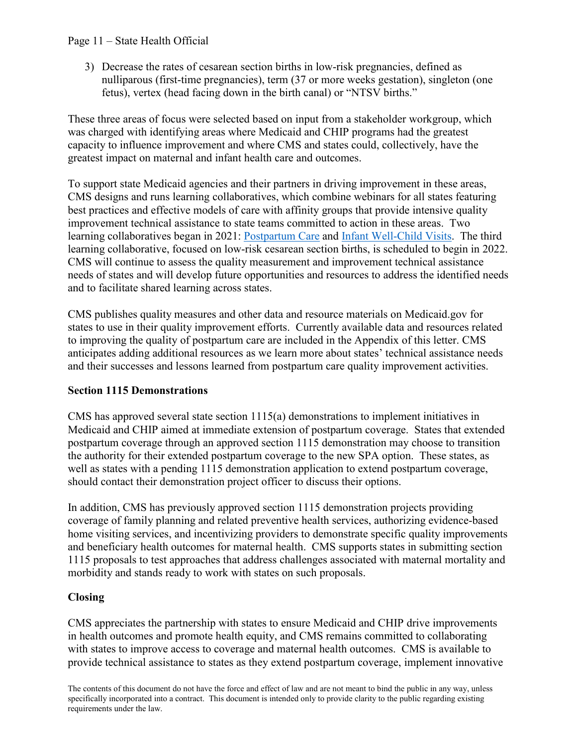## Page 11 – State Health Official

3) Decrease the rates of cesarean section births in low-risk pregnancies, defined as nulliparous (first-time pregnancies), term (37 or more weeks gestation), singleton (one fetus), vertex (head facing down in the birth canal) or "NTSV births."

These three areas of focus were selected based on input from a stakeholder workgroup, which was charged with identifying areas where Medicaid and CHIP programs had the greatest capacity to influence improvement and where CMS and states could, collectively, have the greatest impact on maternal and infant health care and outcomes.

To support state Medicaid agencies and their partners in driving improvement in these areas, CMS designs and runs learning collaboratives, which combine webinars for all states featuring best practices and effective models of care with affinity groups that provide intensive quality improvement technical assistance to state teams committed to action in these areas. Two learning collaboratives began in 2021: Postpartum Care and Infant Well-Child Visits. The third learning collaborative, focused on low-risk cesarean section births, is scheduled to begin in 2022. CMS will continue to assess the quality measurement and improvement technical assistance needs of states and will develop future opportunities and resources to address the identified needs and to facilitate shared learning across states.

CMS publishes quality measures and other data and resource materials on Medicaid.gov for states to use in their quality improvement efforts. Currently available data and resources related to improving the quality of postpartum care are included in the Appendix of this letter. CMS anticipates adding additional resources as we learn more about states' technical assistance needs and their successes and lessons learned from postpartum care quality improvement activities.

## **Section 1115 Demonstrations**

CMS has approved several state section 1115(a) demonstrations to implement initiatives in Medicaid and CHIP aimed at immediate extension of postpartum coverage. States that extended postpartum coverage through an approved section 1115 demonstration may choose to transition the authority for their extended postpartum coverage to the new SPA option. These states, as well as states with a pending 1115 demonstration application to extend postpartum coverage, should contact their demonstration project officer to discuss their options.

In addition, CMS has previously approved section 1115 demonstration projects providing coverage of family planning and related preventive health services, authorizing evidence-based home visiting services, and incentivizing providers to demonstrate specific quality improvements and beneficiary health outcomes for maternal health. CMS supports states in submitting section 1115 proposals to test approaches that address challenges associated with maternal mortality and morbidity and stands ready to work with states on such proposals.

## **Closing**

CMS appreciates the partnership with states to ensure Medicaid and CHIP drive improvements in health outcomes and promote health equity, and CMS remains committed to collaborating with states to improve access to coverage and maternal health outcomes. CMS is available to provide technical assistance to states as they extend postpartum coverage, implement innovative

The contents of this document do not have the force and effect of law and are not meant to bind the public in any way, unless specifically incorporated into a contract. This document is intended only to provide clarity to the public regarding existing requirements under the law.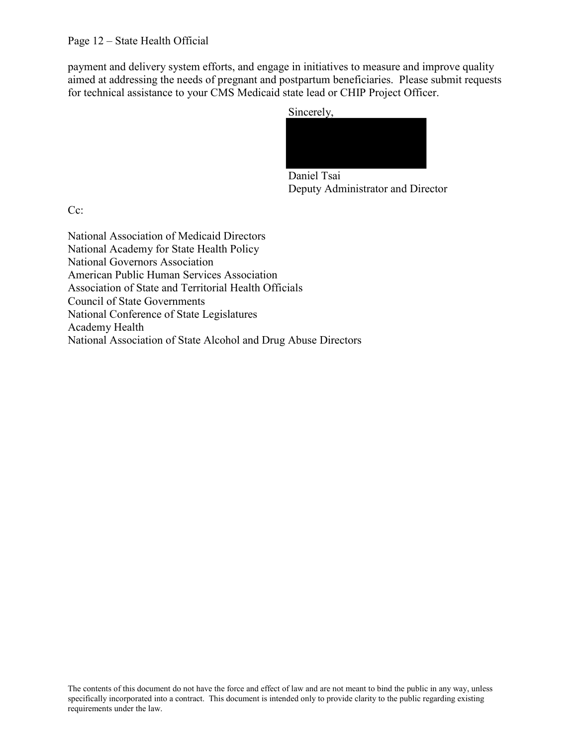payment and delivery system efforts, and engage in initiatives to measure and improve quality aimed at addressing the needs of pregnant and postpartum beneficiaries. Please submit requests for technical assistance to your CMS Medicaid state lead or CHIP Project Officer.



Daniel Tsai Deputy Administrator and Director

Cc:

National Association of Medicaid Directors National Academy for State Health Policy National Governors Association American Public Human Services Association Association of State and Territorial Health Officials Council of State Governments National Conference of State Legislatures Academy Health National Association of State Alcohol and Drug Abuse Directors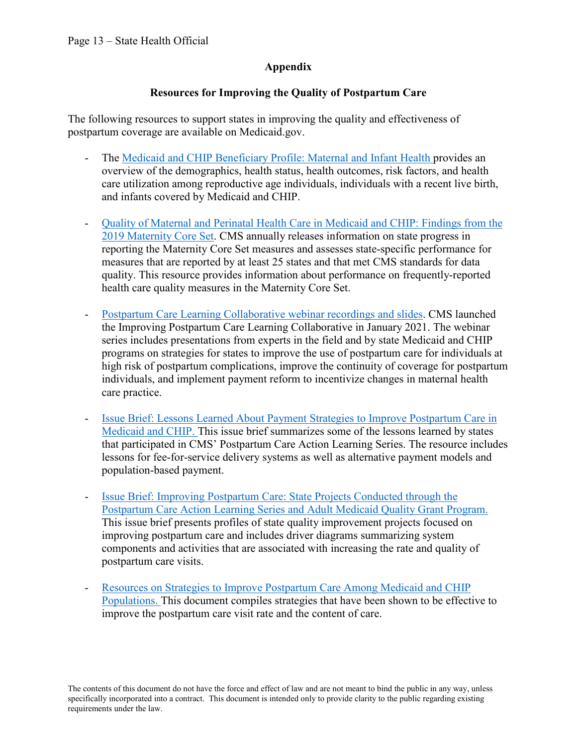## **Appendix**

# **Resources for Improving the Quality of Postpartum Care**

The following resources to support states in improving the quality and effectiveness of postpartum coverage are available on Medicaid.gov.

- The Medicaid and CHIP Beneficiary Profile: Maternal and Infant Health provides an overview of the demographics, health status, health outcomes, risk factors, and health care utilization among reproductive age individuals, individuals with a recent live birth, and infants covered by Medicaid and CHIP.
- Quality of Maternal and Perinatal Health Care in Medicaid and CHIP: Findings from the 2019 Maternity Core Set. CMS annually releases information on state progress in reporting the Maternity Core Set measures and assesses state-specific performance for measures that are reported by at least 25 states and that met CMS standards for data quality. This resource provides information about performance on frequently-reported health care quality measures in the Maternity Core Set.
- Postpartum Care Learning Collaborative webinar recordings and slides. CMS launched the Improving Postpartum Care Learning Collaborative in January 2021. The webinar series includes presentations from experts in the field and by state Medicaid and CHIP programs on strategies for states to improve the use of postpartum care for individuals at high risk of postpartum complications, improve the continuity of coverage for postpartum individuals, and implement payment reform to incentivize changes in maternal health care practice.
- Issue Brief: Lessons Learned About Payment Strategies to Improve Postpartum Care in Medicaid and CHIP. This issue brief summarizes some of the lessons learned by states that participated in CMS' Postpartum Care Action Learning Series. The resource includes lessons for fee-for-service delivery systems as well as alternative payment models and population-based payment.
- Issue Brief: Improving Postpartum Care: State Projects Conducted through the Postpartum Care Action Learning Series and Adult Medicaid Quality Grant Program. This issue brief presents profiles of state quality improvement projects focused on improving postpartum care and includes driver diagrams summarizing system components and activities that are associated with increasing the rate and quality of postpartum care visits.
- Resources on Strategies to Improve Postpartum Care Among Medicaid and CHIP Populations. This document compiles strategies that have been shown to be effective to improve the postpartum care visit rate and the content of care.

The contents of this document do not have the force and effect of law and are not meant to bind the public in any way, unless specifically incorporated into a contract. This document is intended only to provide clarity to the public regarding existing requirements under the law.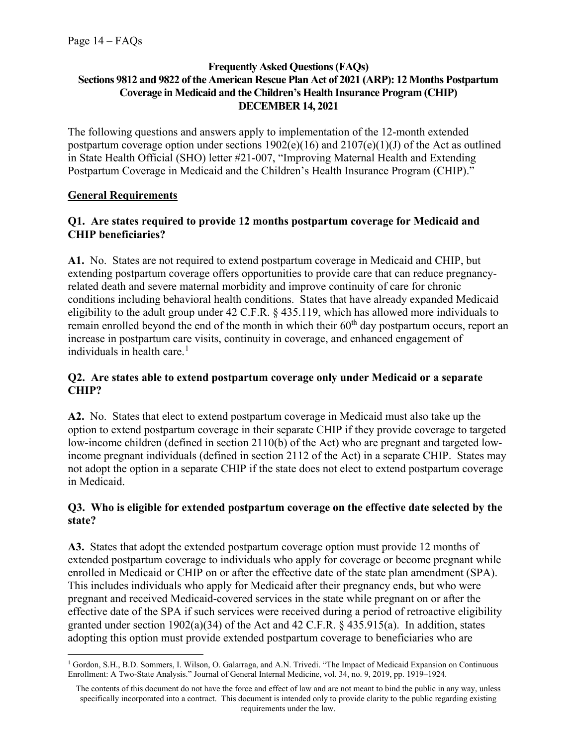### **Frequently Asked Questions (FAQs) Sections 9812 and 9822 of the American Rescue Plan Act of 2021 (ARP): 12 Months Postpartum Coverage in Medicaid and the Children's Health Insurance Program (CHIP) DECEMBER 14, 2021**

The following questions and answers apply to implementation of the 12-month extended postpartum coverage option under sections  $1902(e)(16)$  and  $2107(e)(1)(J)$  of the Act as outlined in State Health Official (SHO) letter #21-007, "Improving Maternal Health and Extending Postpartum Coverage in Medicaid and the Children's Health Insurance Program (CHIP)."

# **General Requirements**

 $\overline{a}$ 

# **Q1. Are states required to provide 12 months postpartum coverage for Medicaid and CHIP beneficiaries?**

**A1.** No.States are not required to extend postpartum coverage in Medicaid and CHIP, but extending postpartum coverage offers opportunities to provide care that can reduce pregnancyrelated death and severe maternal morbidity and improve continuity of care for chronic conditions including behavioral health conditions. States that have already expanded Medicaid eligibility to the adult group under 42 C.F.R. § 435.119, which has allowed more individuals to remain enrolled beyond the end of the month in which their  $60<sup>th</sup>$  day postpartum occurs, report an increase in postpartum care visits, continuity in coverage, and enhanced engagement of individuals in health care.<sup>1</sup>

## **Q2. Are states able to extend postpartum coverage only under Medicaid or a separate CHIP?**

**A2.** No. States that elect to extend postpartum coverage in Medicaid must also take up the option to extend postpartum coverage in their separate CHIP if they provide coverage to targeted low-income children (defined in section 2110(b) of the Act) who are pregnant and targeted lowincome pregnant individuals (defined in section 2112 of the Act) in a separate CHIP. States may not adopt the option in a separate CHIP if the state does not elect to extend postpartum coverage in Medicaid.

# **Q3. Who is eligible for extended postpartum coverage on the effective date selected by the state?**

**A3.** States that adopt the extended postpartum coverage option must provide 12 months of extended postpartum coverage to individuals who apply for coverage or become pregnant while enrolled in Medicaid or CHIP on or after the effective date of the state plan amendment (SPA). This includes individuals who apply for Medicaid after their pregnancy ends, but who were pregnant and received Medicaid-covered services in the state while pregnant on or after the effective date of the SPA if such services were received during a period of retroactive eligibility granted under section 1902(a)(34) of the Act and 42 C.F.R.  $\S$  435.915(a). In addition, states adopting this option must provide extended postpartum coverage to beneficiaries who are

<sup>&</sup>lt;sup>1</sup> Gordon, S.H., B.D. Sommers, I. Wilson, O. Galarraga, and A.N. Trivedi. "The Impact of Medicaid Expansion on Continuous Enrollment: A Two-State Analysis." Journal of General Internal Medicine, vol. 34, no. 9, 2019, pp. 1919–1924.

The contents of this document do not have the force and effect of law and are not meant to bind the public in any way, unless specifically incorporated into a contract. This document is intended only to provide clarity to the public regarding existing requirements under the law.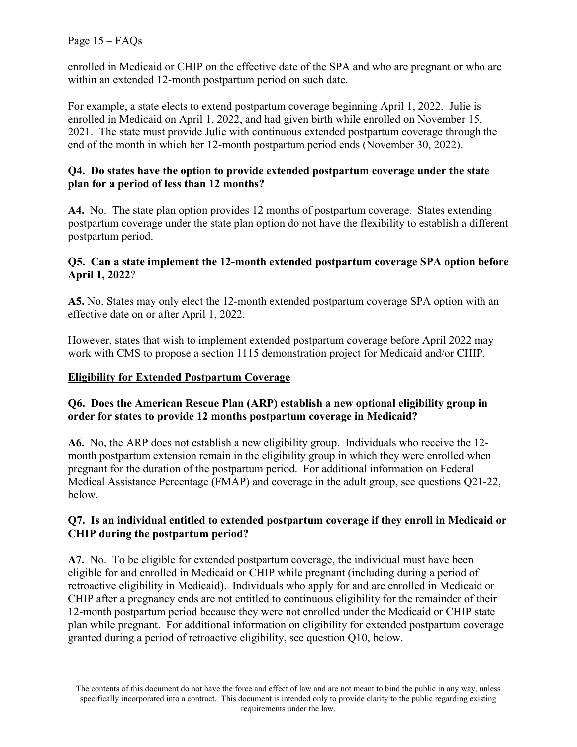Page 15 – FAQs

enrolled in Medicaid or CHIP on the effective date of the SPA and who are pregnant or who are within an extended 12-month postpartum period on such date.

For example, a state elects to extend postpartum coverage beginning April 1, 2022. Julie is enrolled in Medicaid on April 1, 2022, and had given birth while enrolled on November 15, 2021. The state must provide Julie with continuous extended postpartum coverage through the end of the month in which her 12-month postpartum period ends (November 30, 2022).

#### **Q4. Do states have the option to provide extended postpartum coverage under the state plan for a period of less than 12 months?**

**A4.** No. The state plan option provides 12 months of postpartum coverage. States extending postpartum coverage under the state plan option do not have the flexibility to establish a different postpartum period.

#### **Q5. Can a state implement the 12-month extended postpartum coverage SPA option before April 1, 2022**?

**A5.** No. States may only elect the 12-month extended postpartum coverage SPA option with an effective date on or after April 1, 2022.

However, states that wish to implement extended postpartum coverage before April 2022 may work with CMS to propose a section 1115 demonstration project for Medicaid and/or CHIP.

## **Eligibility for Extended Postpartum Coverage**

## **Q6. Does the American Rescue Plan (ARP) establish a new optional eligibility group in order for states to provide 12 months postpartum coverage in Medicaid?**

**A6.** No, the ARP does not establish a new eligibility group. Individuals who receive the 12 month postpartum extension remain in the eligibility group in which they were enrolled when pregnant for the duration of the postpartum period. For additional information on Federal Medical Assistance Percentage (FMAP) and coverage in the adult group, see questions Q21-22, below.

## **Q7. Is an individual entitled to extended postpartum coverage if they enroll in Medicaid or CHIP during the postpartum period?**

**A7.** No. To be eligible for extended postpartum coverage, the individual must have been eligible for and enrolled in Medicaid or CHIP while pregnant (including during a period of retroactive eligibility in Medicaid). Individuals who apply for and are enrolled in Medicaid or CHIP after a pregnancy ends are not entitled to continuous eligibility for the remainder of their 12-month postpartum period because they were not enrolled under the Medicaid or CHIP state plan while pregnant. For additional information on eligibility for extended postpartum coverage granted during a period of retroactive eligibility, see question Q10, below.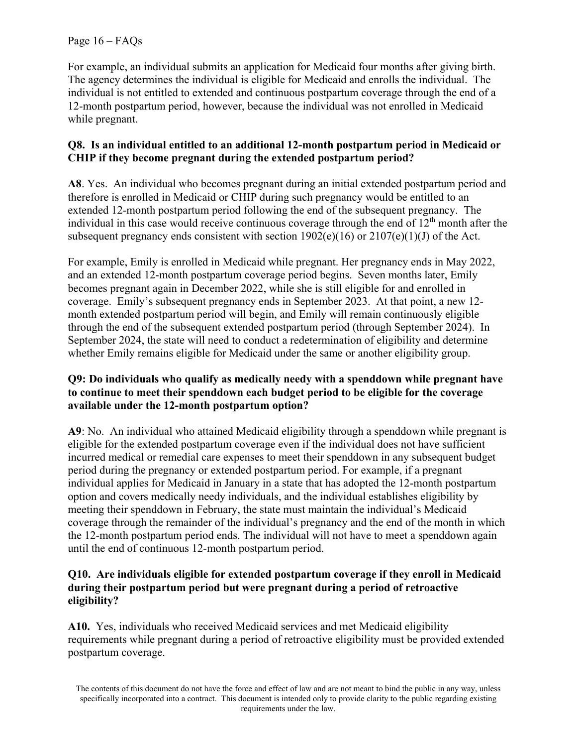For example, an individual submits an application for Medicaid four months after giving birth. The agency determines the individual is eligible for Medicaid and enrolls the individual. The individual is not entitled to extended and continuous postpartum coverage through the end of a 12-month postpartum period, however, because the individual was not enrolled in Medicaid while pregnant.

# **Q8. Is an individual entitled to an additional 12-month postpartum period in Medicaid or CHIP if they become pregnant during the extended postpartum period?**

**A8**. Yes. An individual who becomes pregnant during an initial extended postpartum period and therefore is enrolled in Medicaid or CHIP during such pregnancy would be entitled to an extended 12-month postpartum period following the end of the subsequent pregnancy. The individual in this case would receive continuous coverage through the end of  $12<sup>th</sup>$  month after the subsequent pregnancy ends consistent with section  $1902(e)(16)$  or  $2107(e)(1)(J)$  of the Act.

For example, Emily is enrolled in Medicaid while pregnant. Her pregnancy ends in May 2022, and an extended 12-month postpartum coverage period begins. Seven months later, Emily becomes pregnant again in December 2022, while she is still eligible for and enrolled in coverage. Emily's subsequent pregnancy ends in September 2023. At that point, a new 12 month extended postpartum period will begin, and Emily will remain continuously eligible through the end of the subsequent extended postpartum period (through September 2024). In September 2024, the state will need to conduct a redetermination of eligibility and determine whether Emily remains eligible for Medicaid under the same or another eligibility group.

## **Q9: Do individuals who qualify as medically needy with a spenddown while pregnant have to continue to meet their spenddown each budget period to be eligible for the coverage available under the 12-month postpartum option?**

**A9**: No. An individual who attained Medicaid eligibility through a spenddown while pregnant is eligible for the extended postpartum coverage even if the individual does not have sufficient incurred medical or remedial care expenses to meet their spenddown in any subsequent budget period during the pregnancy or extended postpartum period. For example, if a pregnant individual applies for Medicaid in January in a state that has adopted the 12-month postpartum option and covers medically needy individuals, and the individual establishes eligibility by meeting their spenddown in February, the state must maintain the individual's Medicaid coverage through the remainder of the individual's pregnancy and the end of the month in which the 12-month postpartum period ends. The individual will not have to meet a spenddown again until the end of continuous 12-month postpartum period.

## **Q10. Are individuals eligible for extended postpartum coverage if they enroll in Medicaid during their postpartum period but were pregnant during a period of retroactive eligibility?**

**A10.** Yes, individuals who received Medicaid services and met Medicaid eligibility requirements while pregnant during a period of retroactive eligibility must be provided extended postpartum coverage.

The contents of this document do not have the force and effect of law and are not meant to bind the public in any way, unless specifically incorporated into a contract. This document is intended only to provide clarity to the public regarding existing requirements under the law.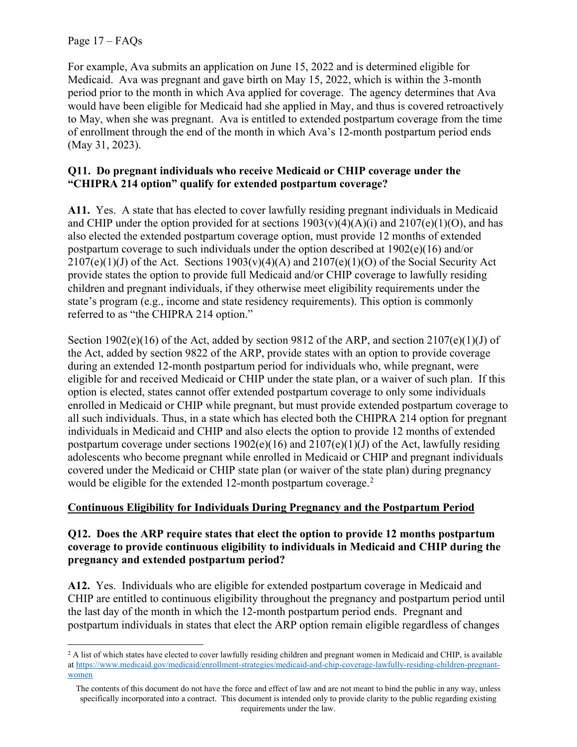Page 17 – FAQs

l

For example, Ava submits an application on June 15, 2022 and is determined eligible for Medicaid. Ava was pregnant and gave birth on May 15, 2022, which is within the 3-month period prior to the month in which Ava applied for coverage. The agency determines that Ava would have been eligible for Medicaid had she applied in May, and thus is covered retroactively to May, when she was pregnant. Ava is entitled to extended postpartum coverage from the time of enrollment through the end of the month in which Ava's 12-month postpartum period ends (May 31, 2023).

## **Q11. Do pregnant individuals who receive Medicaid or CHIP coverage under the "CHIPRA 214 option" qualify for extended postpartum coverage?**

**A11.** Yes. A state that has elected to cover lawfully residing pregnant individuals in Medicaid and CHIP under the option provided for at sections  $1903(v)(4)(A)(i)$  and  $2107(e)(1)(O)$ , and has also elected the extended postpartum coverage option, must provide 12 months of extended postpartum coverage to such individuals under the option described at 1902(e)(16) and/or  $2107(e)(1)(J)$  of the Act. Sections  $1903(v)(4)(A)$  and  $2107(e)(1)(O)$  of the Social Security Act provide states the option to provide full Medicaid and/or CHIP coverage to lawfully residing children and pregnant individuals, if they otherwise meet eligibility requirements under the state's program (e.g., income and state residency requirements). This option is commonly referred to as "the CHIPRA 214 option."

Section 1902(e)(16) of the Act, added by section 9812 of the ARP, and section 2107(e)(1)(J) of the Act, added by section 9822 of the ARP, provide states with an option to provide coverage during an extended 12-month postpartum period for individuals who, while pregnant, were eligible for and received Medicaid or CHIP under the state plan, or a waiver of such plan. If this option is elected, states cannot offer extended postpartum coverage to only some individuals enrolled in Medicaid or CHIP while pregnant, but must provide extended postpartum coverage to all such individuals. Thus, in a state which has elected both the CHIPRA 214 option for pregnant individuals in Medicaid and CHIP and also elects the option to provide 12 months of extended postpartum coverage under sections  $1902(e)(16)$  and  $2107(e)(1)(J)$  of the Act, lawfully residing adolescents who become pregnant while enrolled in Medicaid or CHIP and pregnant individuals covered under the Medicaid or CHIP state plan (or waiver of the state plan) during pregnancy would be eligible for the extended 12-month postpartum coverage. $2$ 

# **Continuous Eligibility for Individuals During Pregnancy and the Postpartum Period**

#### **Q12. Does the ARP require states that elect the option to provide 12 months postpartum coverage to provide continuous eligibility to individuals in Medicaid and CHIP during the pregnancy and extended postpartum period?**

**A12.** Yes. Individuals who are eligible for extended postpartum coverage in Medicaid and CHIP are entitled to continuous eligibility throughout the pregnancy and postpartum period until the last day of the month in which the 12-month postpartum period ends. Pregnant and postpartum individuals in states that elect the ARP option remain eligible regardless of changes

 $<sup>2</sup>$  A list of which states have elected to cover lawfully residing children and pregnant women in Medicaid and CHIP, is available</sup> at https://www.medicaid.gov/medicaid/enrollment-strategies/medicaid-and-chip-coverage-lawfully-residing-children-pregnantwomen

The contents of this document do not have the force and effect of law and are not meant to bind the public in any way, unless specifically incorporated into a contract. This document is intended only to provide clarity to the public regarding existing requirements under the law.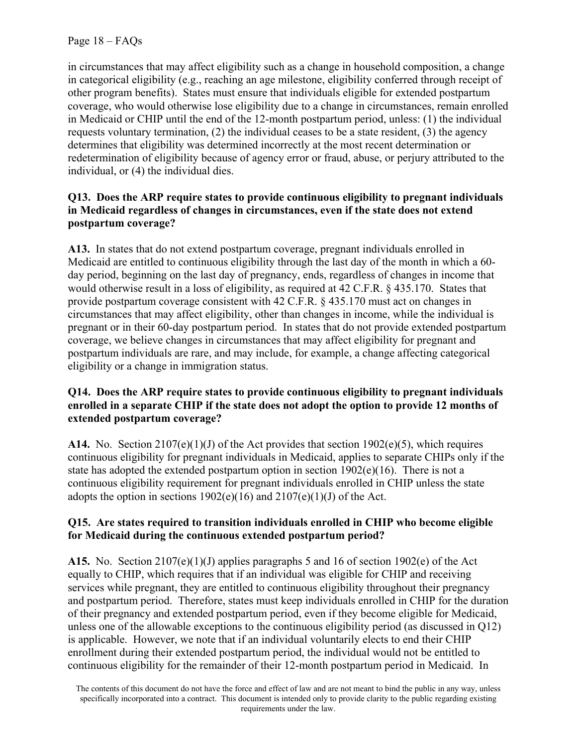in circumstances that may affect eligibility such as a change in household composition, a change in categorical eligibility (e.g., reaching an age milestone, eligibility conferred through receipt of other program benefits). States must ensure that individuals eligible for extended postpartum coverage, who would otherwise lose eligibility due to a change in circumstances, remain enrolled in Medicaid or CHIP until the end of the 12-month postpartum period, unless: (1) the individual requests voluntary termination, (2) the individual ceases to be a state resident, (3) the agency determines that eligibility was determined incorrectly at the most recent determination or redetermination of eligibility because of agency error or fraud, abuse, or perjury attributed to the individual, or (4) the individual dies.

# **Q13. Does the ARP require states to provide continuous eligibility to pregnant individuals in Medicaid regardless of changes in circumstances, even if the state does not extend postpartum coverage?**

**A13.** In states that do not extend postpartum coverage, pregnant individuals enrolled in Medicaid are entitled to continuous eligibility through the last day of the month in which a 60 day period, beginning on the last day of pregnancy, ends, regardless of changes in income that would otherwise result in a loss of eligibility, as required at 42 C.F.R. § 435.170. States that provide postpartum coverage consistent with 42 C.F.R. § 435.170 must act on changes in circumstances that may affect eligibility, other than changes in income, while the individual is pregnant or in their 60-day postpartum period. In states that do not provide extended postpartum coverage, we believe changes in circumstances that may affect eligibility for pregnant and postpartum individuals are rare, and may include, for example, a change affecting categorical eligibility or a change in immigration status.

# **Q14. Does the ARP require states to provide continuous eligibility to pregnant individuals enrolled in a separate CHIP if the state does not adopt the option to provide 12 months of extended postpartum coverage?**

**A14.** No. Section  $2107(e)(1)(J)$  of the Act provides that section  $1902(e)(5)$ , which requires continuous eligibility for pregnant individuals in Medicaid, applies to separate CHIPs only if the state has adopted the extended postpartum option in section  $1902(e)(16)$ . There is not a continuous eligibility requirement for pregnant individuals enrolled in CHIP unless the state adopts the option in sections  $1902(e)(16)$  and  $2107(e)(1)(J)$  of the Act.

# **Q15. Are states required to transition individuals enrolled in CHIP who become eligible for Medicaid during the continuous extended postpartum period?**

**A15.** No. Section 2107(e)(1)(J) applies paragraphs 5 and 16 of section 1902(e) of the Act equally to CHIP, which requires that if an individual was eligible for CHIP and receiving services while pregnant, they are entitled to continuous eligibility throughout their pregnancy and postpartum period. Therefore, states must keep individuals enrolled in CHIP for the duration of their pregnancy and extended postpartum period, even if they become eligible for Medicaid, unless one of the allowable exceptions to the continuous eligibility period (as discussed in Q12) is applicable. However, we note that if an individual voluntarily elects to end their CHIP enrollment during their extended postpartum period, the individual would not be entitled to continuous eligibility for the remainder of their 12-month postpartum period in Medicaid.In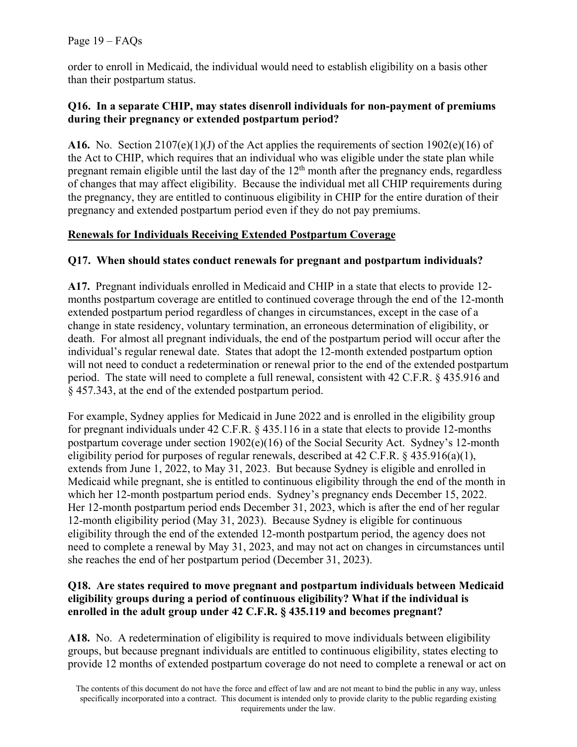# Page 19 – FAQs

order to enroll in Medicaid, the individual would need to establish eligibility on a basis other than their postpartum status.

## **Q16. In a separate CHIP, may states disenroll individuals for non-payment of premiums during their pregnancy or extended postpartum period?**

**A16.** No. Section 2107(e)(1)(J) of the Act applies the requirements of section 1902(e)(16) of the Act to CHIP, which requires that an individual who was eligible under the state plan while pregnant remain eligible until the last day of the  $12<sup>th</sup>$  month after the pregnancy ends, regardless of changes that may affect eligibility. Because the individual met all CHIP requirements during the pregnancy, they are entitled to continuous eligibility in CHIP for the entire duration of their pregnancy and extended postpartum period even if they do not pay premiums.

# **Renewals for Individuals Receiving Extended Postpartum Coverage**

# **Q17. When should states conduct renewals for pregnant and postpartum individuals?**

**A17.** Pregnant individuals enrolled in Medicaid and CHIP in a state that elects to provide 12 months postpartum coverage are entitled to continued coverage through the end of the 12-month extended postpartum period regardless of changes in circumstances, except in the case of a change in state residency, voluntary termination, an erroneous determination of eligibility, or death. For almost all pregnant individuals, the end of the postpartum period will occur after the individual's regular renewal date. States that adopt the 12-month extended postpartum option will not need to conduct a redetermination or renewal prior to the end of the extended postpartum period. The state will need to complete a full renewal, consistent with 42 C.F.R. § 435.916 and § 457.343, at the end of the extended postpartum period.

For example, Sydney applies for Medicaid in June 2022 and is enrolled in the eligibility group for pregnant individuals under 42 C.F.R. § 435.116 in a state that elects to provide 12-months postpartum coverage under section  $1902(e)(16)$  of the Social Security Act. Sydney's 12-month eligibility period for purposes of regular renewals, described at 42 C.F.R. § 435.916(a)(1), extends from June 1, 2022, to May 31, 2023. But because Sydney is eligible and enrolled in Medicaid while pregnant, she is entitled to continuous eligibility through the end of the month in which her 12-month postpartum period ends. Sydney's pregnancy ends December 15, 2022. Her 12-month postpartum period ends December 31, 2023, which is after the end of her regular 12-month eligibility period (May 31, 2023). Because Sydney is eligible for continuous eligibility through the end of the extended 12-month postpartum period, the agency does not need to complete a renewal by May 31, 2023, and may not act on changes in circumstances until she reaches the end of her postpartum period (December 31, 2023).

# **Q18. Are states required to move pregnant and postpartum individuals between Medicaid eligibility groups during a period of continuous eligibility? What if the individual is enrolled in the adult group under 42 C.F.R. § 435.119 and becomes pregnant?**

**A18.** No.A redetermination of eligibility is required to move individuals between eligibility groups, but because pregnant individuals are entitled to continuous eligibility, states electing to provide 12 months of extended postpartum coverage do not need to complete a renewal or act on

The contents of this document do not have the force and effect of law and are not meant to bind the public in any way, unless specifically incorporated into a contract. This document is intended only to provide clarity to the public regarding existing requirements under the law.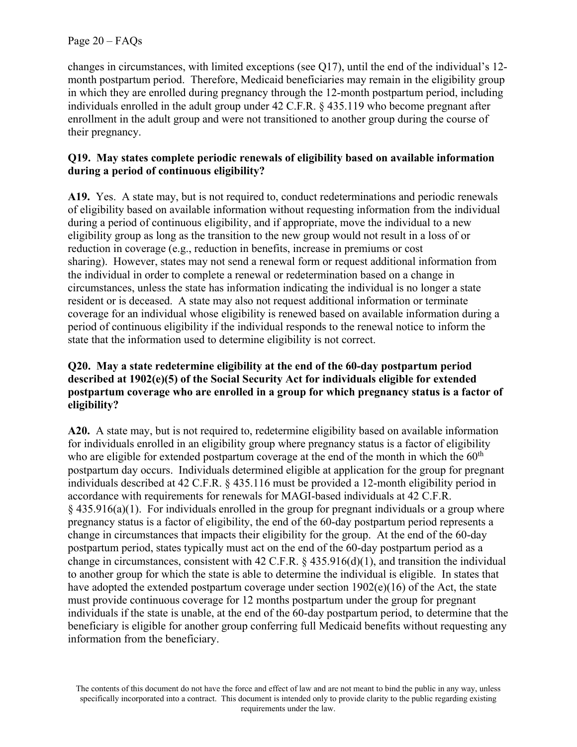changes in circumstances, with limited exceptions (see Q17), until the end of the individual's 12 month postpartum period. Therefore, Medicaid beneficiaries may remain in the eligibility group in which they are enrolled during pregnancy through the 12-month postpartum period, including individuals enrolled in the adult group under 42 C.F.R. § 435.119 who become pregnant after enrollment in the adult group and were not transitioned to another group during the course of their pregnancy.

## **Q19. May states complete periodic renewals of eligibility based on available information during a period of continuous eligibility?**

**A19.** Yes. A state may, but is not required to, conduct redeterminations and periodic renewals of eligibility based on available information without requesting information from the individual during a period of continuous eligibility, and if appropriate, move the individual to a new eligibility group as long as the transition to the new group would not result in a loss of or reduction in coverage (e.g., reduction in benefits, increase in premiums or cost sharing). However, states may not send a renewal form or request additional information from the individual in order to complete a renewal or redetermination based on a change in circumstances, unless the state has information indicating the individual is no longer a state resident or is deceased. A state may also not request additional information or terminate coverage for an individual whose eligibility is renewed based on available information during a period of continuous eligibility if the individual responds to the renewal notice to inform the state that the information used to determine eligibility is not correct.

## **Q20. May a state redetermine eligibility at the end of the 60-day postpartum period described at 1902(e)(5) of the Social Security Act for individuals eligible for extended postpartum coverage who are enrolled in a group for which pregnancy status is a factor of eligibility?**

**A20.** A state may, but is not required to, redetermine eligibility based on available information for individuals enrolled in an eligibility group where pregnancy status is a factor of eligibility who are eligible for extended postpartum coverage at the end of the month in which the  $60<sup>th</sup>$ postpartum day occurs. Individuals determined eligible at application for the group for pregnant individuals described at 42 C.F.R. § 435.116 must be provided a 12-month eligibility period in accordance with requirements for renewals for MAGI-based individuals at 42 C.F.R.  $§$  435.916(a)(1). For individuals enrolled in the group for pregnant individuals or a group where pregnancy status is a factor of eligibility, the end of the 60-day postpartum period represents a change in circumstances that impacts their eligibility for the group. At the end of the 60-day postpartum period, states typically must act on the end of the 60-day postpartum period as a change in circumstances, consistent with 42 C.F.R. § 435.916(d)(1), and transition the individual to another group for which the state is able to determine the individual is eligible. In states that have adopted the extended postpartum coverage under section 1902(e)(16) of the Act, the state must provide continuous coverage for 12 months postpartum under the group for pregnant individuals if the state is unable, at the end of the 60-day postpartum period, to determine that the beneficiary is eligible for another group conferring full Medicaid benefits without requesting any information from the beneficiary.

The contents of this document do not have the force and effect of law and are not meant to bind the public in any way, unless specifically incorporated into a contract. This document is intended only to provide clarity to the public regarding existing requirements under the law.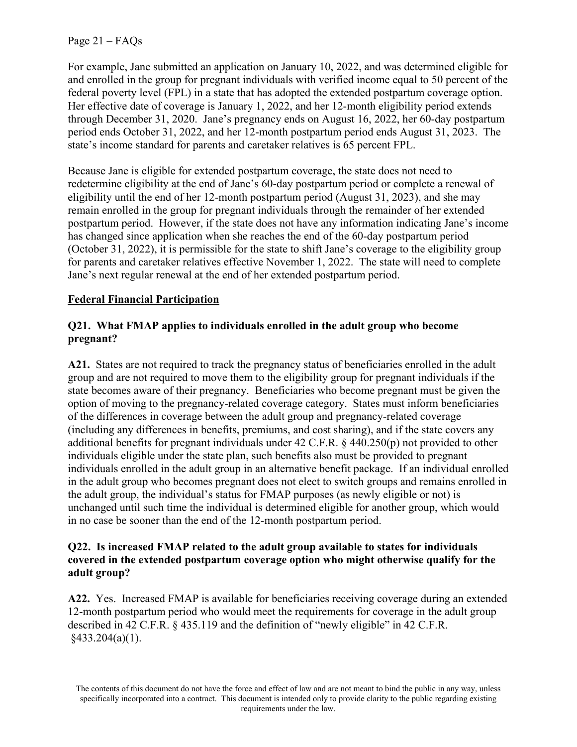Page 21 – FAQs

For example, Jane submitted an application on January 10, 2022, and was determined eligible for and enrolled in the group for pregnant individuals with verified income equal to 50 percent of the federal poverty level (FPL) in a state that has adopted the extended postpartum coverage option. Her effective date of coverage is January 1, 2022, and her 12-month eligibility period extends through December 31, 2020. Jane's pregnancy ends on August 16, 2022, her 60-day postpartum period ends October 31, 2022, and her 12-month postpartum period ends August 31, 2023. The state's income standard for parents and caretaker relatives is 65 percent FPL.

Because Jane is eligible for extended postpartum coverage, the state does not need to redetermine eligibility at the end of Jane's 60-day postpartum period or complete a renewal of eligibility until the end of her 12-month postpartum period (August 31, 2023), and she may remain enrolled in the group for pregnant individuals through the remainder of her extended postpartum period. However, if the state does not have any information indicating Jane's income has changed since application when she reaches the end of the 60-day postpartum period (October 31, 2022), it is permissible for the state to shift Jane's coverage to the eligibility group for parents and caretaker relatives effective November 1, 2022. The state will need to complete Jane's next regular renewal at the end of her extended postpartum period.

## **Federal Financial Participation**

# **Q21. What FMAP applies to individuals enrolled in the adult group who become pregnant?**

**A21.** States are not required to track the pregnancy status of beneficiaries enrolled in the adult group and are not required to move them to the eligibility group for pregnant individuals if the state becomes aware of their pregnancy. Beneficiaries who become pregnant must be given the option of moving to the pregnancy-related coverage category. States must inform beneficiaries of the differences in coverage between the adult group and pregnancy-related coverage (including any differences in benefits, premiums, and cost sharing), and if the state covers any additional benefits for pregnant individuals under 42 C.F.R. § 440.250(p) not provided to other individuals eligible under the state plan, such benefits also must be provided to pregnant individuals enrolled in the adult group in an alternative benefit package. If an individual enrolled in the adult group who becomes pregnant does not elect to switch groups and remains enrolled in the adult group, the individual's status for FMAP purposes (as newly eligible or not) is unchanged until such time the individual is determined eligible for another group, which would in no case be sooner than the end of the 12-month postpartum period.

#### **Q22. Is increased FMAP related to the adult group available to states for individuals covered in the extended postpartum coverage option who might otherwise qualify for the adult group?**

**A22.** Yes. Increased FMAP is available for beneficiaries receiving coverage during an extended 12-month postpartum period who would meet the requirements for coverage in the adult group described in 42 C.F.R. § 435.119 and the definition of "newly eligible" in 42 C.F.R.  $§433.204(a)(1).$